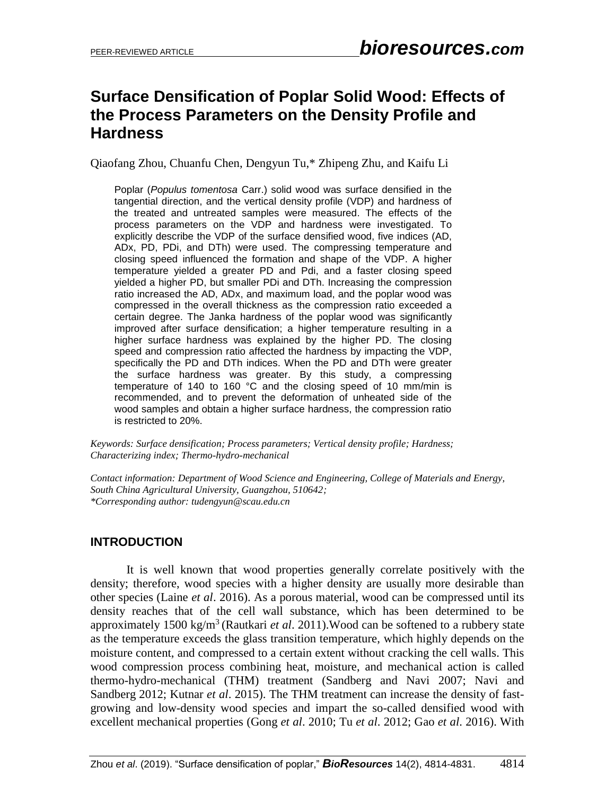# **Surface Densification of Poplar Solid Wood: Effects of the Process Parameters on the Density Profile and Hardness**

Qiaofang Zhou, Chuanfu Chen, Dengyun Tu,\* Zhipeng Zhu, and Kaifu Li

Poplar (*Populus tomentosa* Carr.) solid wood was surface densified in the tangential direction, and the vertical density profile (VDP) and hardness of the treated and untreated samples were measured. The effects of the process parameters on the VDP and hardness were investigated. To explicitly describe the VDP of the surface densified wood, five indices (AD, ADx, PD, PDi, and DTh) were used. The compressing temperature and closing speed influenced the formation and shape of the VDP. A higher temperature yielded a greater PD and Pdi, and a faster closing speed yielded a higher PD, but smaller PDi and DTh. Increasing the compression ratio increased the AD, ADx, and maximum load, and the poplar wood was compressed in the overall thickness as the compression ratio exceeded a certain degree. The Janka hardness of the poplar wood was significantly improved after surface densification; a higher temperature resulting in a higher surface hardness was explained by the higher PD. The closing speed and compression ratio affected the hardness by impacting the VDP, specifically the PD and DTh indices. When the PD and DTh were greater the surface hardness was greater. By this study, a compressing temperature of 140 to 160 °C and the closing speed of 10 mm/min is recommended, and to prevent the deformation of unheated side of the wood samples and obtain a higher surface hardness, the compression ratio is restricted to 20%.

*Keywords: Surface densification; Process parameters; Vertical density profile; Hardness; Characterizing index; Thermo-hydro-mechanical*

*Contact information: Department of Wood Science and Engineering, College of Materials and Energy, South China Agricultural University, Guangzhou, 510642; \*Corresponding author: tudengyun@scau.edu.cn*

## **INTRODUCTION**

It is well known that wood properties generally correlate positively with the density; therefore, wood species with a higher density are usually more desirable than other species (Laine *et al*. 2016). As a porous material, wood can be compressed until its density reaches that of the cell wall substance, which has been determined to be approximately 1500 kg/m<sup>3</sup> (Rautkari *et al.* 2011). Wood can be softened to a rubbery state as the temperature exceeds the glass transition temperature, which highly depends on the moisture content, and compressed to a certain extent without cracking the cell walls. This wood compression process combining heat, moisture, and mechanical action is called thermo-hydro-mechanical (THM) treatment (Sandberg and Navi 2007; Navi and Sandberg 2012; Kutnar *et al*. 2015). The THM treatment can increase the density of fastgrowing and low-density wood species and impart the so-called densified wood with excellent mechanical properties (Gong *et al*. 2010; Tu *et al*. 2012; Gao *et al*. 2016). With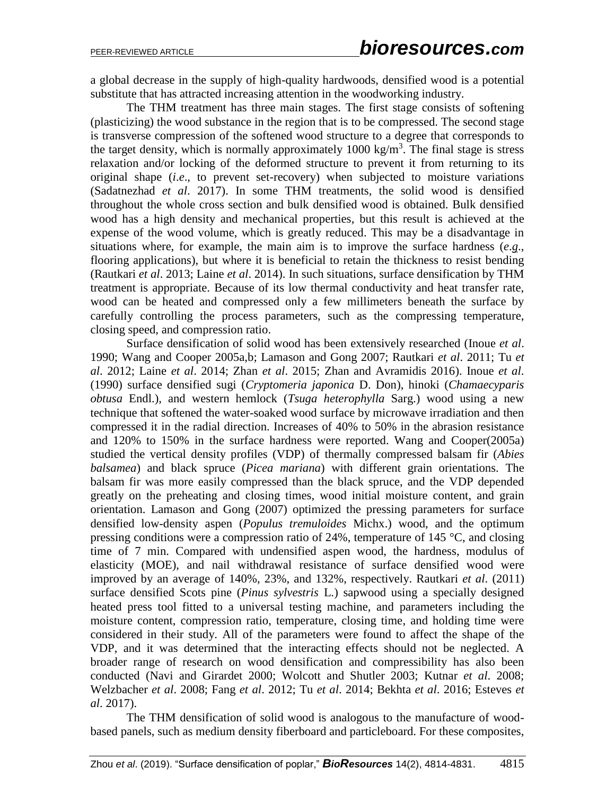a global decrease in the supply of high-quality hardwoods, densified wood is a potential substitute that has attracted increasing attention in the woodworking industry.

The THM treatment has three main stages. The first stage consists of softening (plasticizing) the wood substance in the region that is to be compressed. The second stage is transverse compression of the softened wood structure to a degree that corresponds to the target density, which is normally approximately  $1000 \text{ kg/m}^3$ . The final stage is stress relaxation and/or locking of the deformed structure to prevent it from returning to its original shape (*i*.*e*., to prevent set-recovery) when subjected to moisture variations (Sadatnezhad *et al*. 2017). In some THM treatments, the solid wood is densified throughout the whole cross section and bulk densified wood is obtained. Bulk densified wood has a high density and mechanical properties, but this result is achieved at the expense of the wood volume, which is greatly reduced. This may be a disadvantage in situations where, for example, the main aim is to improve the surface hardness (*e*.*g*., flooring applications), but where it is beneficial to retain the thickness to resist bending (Rautkari *et al*. 2013; Laine *et al*. 2014). In such situations, surface densification by THM treatment is appropriate. Because of its low thermal conductivity and heat transfer rate, wood can be heated and compressed only a few millimeters beneath the surface by carefully controlling the process parameters, such as the compressing temperature, closing speed, and compression ratio.

Surface densification of solid wood has been extensively researched (Inoue *et al*. 1990; Wang and Cooper 2005a,b; Lamason and Gong 2007; Rautkari *et al*. 2011; Tu *et al*. 2012; Laine *et al*. 2014; Zhan *et al*. 2015; Zhan and Avramidis 2016). Inoue *et al*. (1990) surface densified sugi (*Cryptomeria japonica* D. Don), hinoki (*Chamaecyparis obtusa* Endl.), and western hemlock (*Tsuga heterophylla* Sarg.) wood using a new technique that softened the water-soaked wood surface by microwave irradiation and then compressed it in the radial direction. Increases of 40% to 50% in the abrasion resistance and 120% to 150% in the surface hardness were reported. Wang and Cooper(2005a) studied the vertical density profiles (VDP) of thermally compressed balsam fir (*Abies balsamea*) and black spruce (*Picea mariana*) with different grain orientations. The balsam fir was more easily compressed than the black spruce, and the VDP depended greatly on the preheating and closing times, wood initial moisture content, and grain orientation. Lamason and Gong (2007) optimized the pressing parameters for surface densified low-density aspen (*Populus tremuloides* Michx.) wood, and the optimum pressing conditions were a compression ratio of 24%, temperature of 145 °C, and closing time of 7 min. Compared with undensified aspen wood, the hardness, modulus of elasticity (MOE), and nail withdrawal resistance of surface densified wood were improved by an average of 140%, 23%, and 132%, respectively. Rautkari *et al*. (2011) surface densified Scots pine (*Pinus sylvestris* L.) sapwood using a specially designed heated press tool fitted to a universal testing machine, and parameters including the moisture content, compression ratio, temperature, closing time, and holding time were considered in their study. All of the parameters were found to affect the shape of the VDP, and it was determined that the interacting effects should not be neglected. A broader range of research on wood densification and compressibility has also been conducted (Navi and Girardet 2000; Wolcott and Shutler 2003; Kutnar *et al*. 2008; Welzbacher *et al*. 2008; Fang *et al*. 2012; Tu *et al*. 2014; Bekhta *et al*. 2016; Esteves *et al*. 2017).

The THM densification of solid wood is analogous to the manufacture of woodbased panels, such as medium density fiberboard and particleboard. For these composites,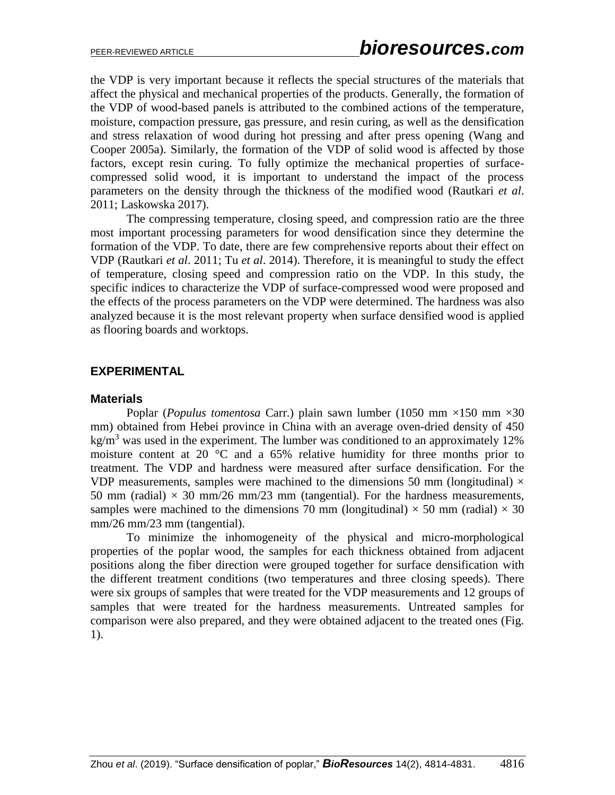the VDP is very important because it reflects the special structures of the materials that affect the physical and mechanical properties of the products. Generally, the formation of the VDP of wood-based panels is attributed to the combined actions of the temperature, moisture, compaction pressure, gas pressure, and resin curing, as well as the densification and stress relaxation of wood during hot pressing and after press opening (Wang and Cooper 2005a). Similarly, the formation of the VDP of solid wood is affected by those factors, except resin curing. To fully optimize the mechanical properties of surfacecompressed solid wood, it is important to understand the impact of the process parameters on the density through the thickness of the modified wood (Rautkari *et al*. 2011; Laskowska 2017).

The compressing temperature, closing speed, and compression ratio are the three most important processing parameters for wood densification since they determine the formation of the VDP. To date, there are few comprehensive reports about their effect on VDP (Rautkari *et al*. 2011; Tu *et al*. 2014). Therefore, it is meaningful to study the effect of temperature, closing speed and compression ratio on the VDP. In this study, the specific indices to characterize the VDP of surface-compressed wood were proposed and the effects of the process parameters on the VDP were determined. The hardness was also analyzed because it is the most relevant property when surface densified wood is applied as flooring boards and worktops.

## **EXPERIMENTAL**

#### **Materials**

Poplar (*Populus tomentosa* Carr.) plain sawn lumber (1050 mm ×150 mm ×30 mm) obtained from Hebei province in China with an average oven-dried density of 450 kg/m<sup>3</sup> was used in the experiment. The lumber was conditioned to an approximately 12% moisture content at 20 °C and a 65% relative humidity for three months prior to treatment. The VDP and hardness were measured after surface densification. For the VDP measurements, samples were machined to the dimensions 50 mm (longitudinal)  $\times$ 50 mm (radial)  $\times$  30 mm/26 mm/23 mm (tangential). For the hardness measurements, samples were machined to the dimensions 70 mm (longitudinal)  $\times$  50 mm (radial)  $\times$  30 mm/26 mm/23 mm (tangential).

To minimize the inhomogeneity of the physical and micro-morphological properties of the poplar wood, the samples for each thickness obtained from adjacent positions along the fiber direction were grouped together for surface densification with the different treatment conditions (two temperatures and three closing speeds). There were six groups of samples that were treated for the VDP measurements and 12 groups of samples that were treated for the hardness measurements. Untreated samples for comparison were also prepared, and they were obtained adjacent to the treated ones (Fig. 1).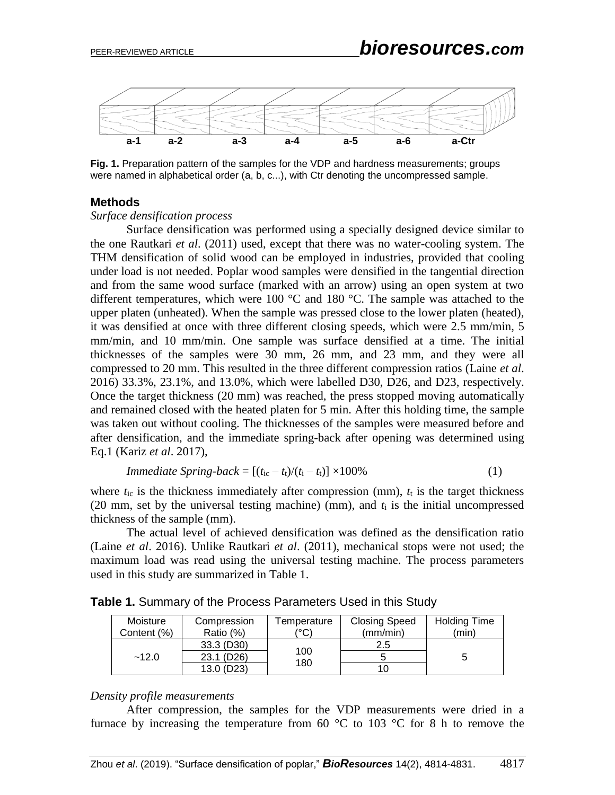

**Fig. 1.** Preparation pattern of the samples for the VDP and hardness measurements; groups were named in alphabetical order (a, b, c...), with Ctr denoting the uncompressed sample.

#### **Methods**

#### *Surface densification process*

Surface densification was performed using a specially designed device similar to the one Rautkari *et al*. (2011) used, except that there was no water-cooling system. The THM densification of solid wood can be employed in industries, provided that cooling under load is not needed. Poplar wood samples were densified in the tangential direction and from the same wood surface (marked with an arrow) using an open system at two different temperatures, which were 100  $^{\circ}$ C and 180  $^{\circ}$ C. The sample was attached to the upper platen (unheated). When the sample was pressed close to the lower platen (heated), it was densified at once with three different closing speeds, which were 2.5 mm/min, 5 mm/min, and 10 mm/min. One sample was surface densified at a time. The initial thicknesses of the samples were 30 mm, 26 mm, and 23 mm, and they were all compressed to 20 mm. This resulted in the three different compression ratios (Laine *et al*. 2016) 33.3%, 23.1%, and 13.0%, which were labelled D30, D26, and D23, respectively. Once the target thickness (20 mm) was reached, the press stopped moving automatically and remained closed with the heated platen for 5 min. After this holding time, the sample was taken out without cooling. The thicknesses of the samples were measured before and after densification, and the immediate spring-back after opening was determined using Eq.1 (Kariz *et al*. 2017),

*Immediate Spring-back* = 
$$
[(t_{ic} - t_t)/(t_i - t_t)] \times 100\%
$$
 (1)

where  $t_{ic}$  is the thickness immediately after compression (mm),  $t_t$  is the target thickness (20 mm, set by the universal testing machine) (mm), and  $t_i$  is the initial uncompressed thickness of the sample (mm).

The actual level of achieved densification was defined as the densification ratio (Laine *et al*. 2016). Unlike Rautkari *et al*. (2011), mechanical stops were not used; the maximum load was read using the universal testing machine. The process parameters used in this study are summarized in Table 1.

|  | Moisture<br>Content (%) | Compression<br>Ratio (%) | Temperature<br>(°C) | <b>Closing Speed</b><br>(mm/min) | <b>Holding Time</b><br>(min) |
|--|-------------------------|--------------------------|---------------------|----------------------------------|------------------------------|
|  |                         | 33.3 (D30)               |                     | 2.5                              |                              |
|  | $-12.0$                 | 23.1 (D <sub>26</sub> )  | 100<br>180          |                                  |                              |
|  |                         | 13.0 (D23)               |                     |                                  |                              |

**Table 1.** Summary of the Process Parameters Used in this Study

#### *Density profile measurements*

After compression, the samples for the VDP measurements were dried in a furnace by increasing the temperature from 60  $\degree$ C to 103  $\degree$ C for 8 h to remove the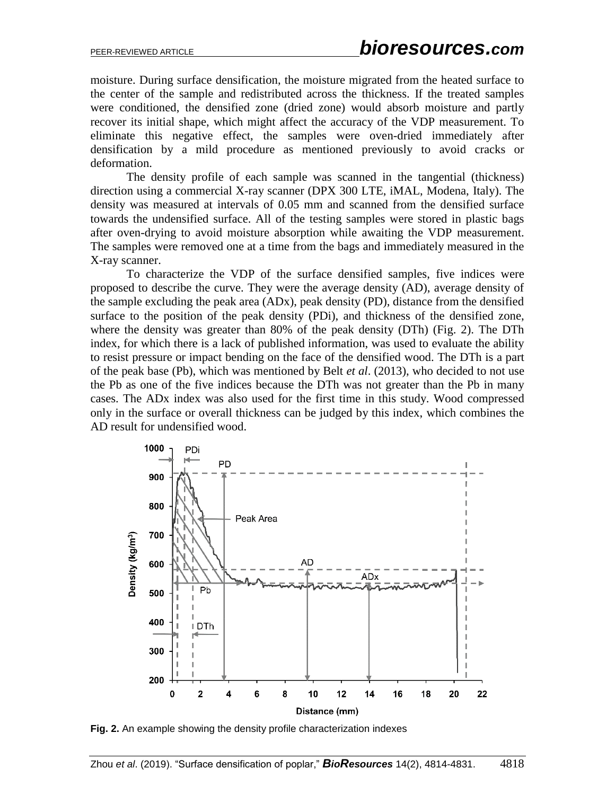moisture. During surface densification, the moisture migrated from the heated surface to the center of the sample and redistributed across the thickness. If the treated samples were conditioned, the densified zone (dried zone) would absorb moisture and partly recover its initial shape, which might affect the accuracy of the VDP measurement. To eliminate this negative effect, the samples were oven-dried immediately after densification by a mild procedure as mentioned previously to avoid cracks or deformation.

The density profile of each sample was scanned in the tangential (thickness) direction using a commercial X-ray scanner (DPX 300 LTE, iMAL, Modena, Italy). The density was measured at intervals of 0.05 mm and scanned from the densified surface towards the undensified surface. All of the testing samples were stored in plastic bags after oven-drying to avoid moisture absorption while awaiting the VDP measurement. The samples were removed one at a time from the bags and immediately measured in the X-ray scanner.

To characterize the VDP of the surface densified samples, five indices were proposed to describe the curve. They were the average density (AD), average density of the sample excluding the peak area (ADx), peak density (PD), distance from the densified surface to the position of the peak density (PDi), and thickness of the densified zone, where the density was greater than 80% of the peak density (DTh) (Fig. 2). The DTh index, for which there is a lack of published information, was used to evaluate the ability to resist pressure or impact bending on the face of the densified wood. The DTh is a part of the peak base (Pb), which was mentioned by Belt *et al*. (2013), who decided to not use the Pb as one of the five indices because the DTh was not greater than the Pb in many cases. The ADx index was also used for the first time in this study. Wood compressed only in the surface or overall thickness can be judged by this index, which combines the AD result for undensified wood.



**Fig. 2.** An example showing the density profile characterization indexes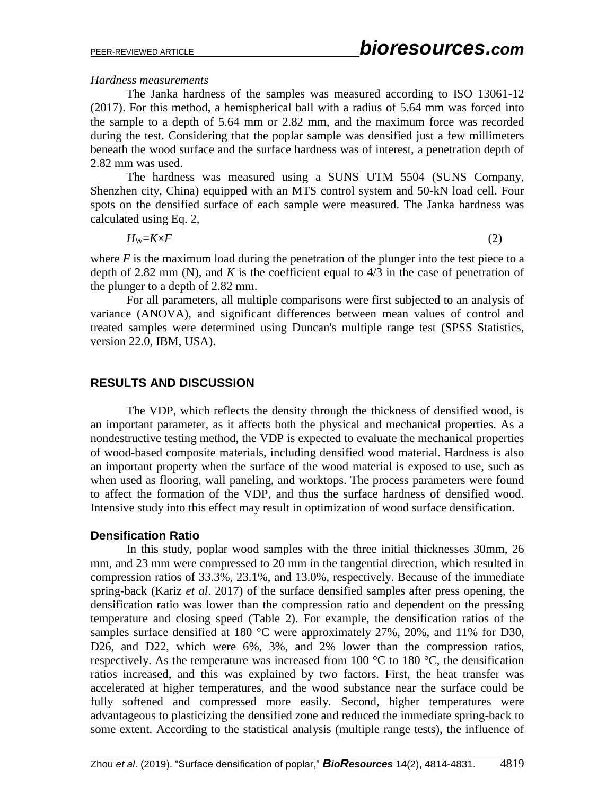#### *Hardness measurements*

The Janka hardness of the samples was measured according to ISO 13061-12 (2017). For this method, a hemispherical ball with a radius of 5.64 mm was forced into the sample to a depth of 5.64 mm or 2.82 mm, and the maximum force was recorded during the test. Considering that the poplar sample was densified just a few millimeters beneath the wood surface and the surface hardness was of interest, a penetration depth of 2.82 mm was used.

The hardness was measured using a SUNS UTM 5504 (SUNS Company, Shenzhen city, China) equipped with an MTS control system and 50-kN load cell. Four spots on the densified surface of each sample were measured. The Janka hardness was calculated using Eq. 2,

$$
H_{\rm W}=K\times F\tag{2}
$$

where  $F$  is the maximum load during the penetration of the plunger into the test piece to a depth of 2.82 mm (N), and  $K$  is the coefficient equal to  $4/3$  in the case of penetration of the plunger to a depth of 2.82 mm.

For all parameters, all multiple comparisons were first subjected to an analysis of variance (ANOVA), and significant differences between mean values of control and treated samples were determined using Duncan's multiple range test (SPSS Statistics, version 22.0, IBM, USA).

## **RESULTS AND DISCUSSION**

The VDP, which reflects the density through the thickness of densified wood, is an important parameter, as it affects both the physical and mechanical properties. As a nondestructive testing method, the VDP is expected to evaluate the mechanical properties of wood-based composite materials, including densified wood material. Hardness is also an important property when the surface of the wood material is exposed to use, such as when used as flooring, wall paneling, and worktops. The process parameters were found to affect the formation of the VDP, and thus the surface hardness of densified wood. Intensive study into this effect may result in optimization of wood surface densification.

## **Densification Ratio**

In this study, poplar wood samples with the three initial thicknesses 30mm, 26 mm, and 23 mm were compressed to 20 mm in the tangential direction, which resulted in compression ratios of 33.3%, 23.1%, and 13.0%, respectively. Because of the immediate spring-back (Kariz *et al*. 2017) of the surface densified samples after press opening, the densification ratio was lower than the compression ratio and dependent on the pressing temperature and closing speed (Table 2). For example, the densification ratios of the samples surface densified at 180 °C were approximately 27%, 20%, and 11% for D30, D26, and D22, which were 6%, 3%, and 2% lower than the compression ratios, respectively. As the temperature was increased from 100  $^{\circ}$ C to 180  $^{\circ}$ C, the densification ratios increased, and this was explained by two factors. First, the heat transfer was accelerated at higher temperatures, and the wood substance near the surface could be fully softened and compressed more easily. Second, higher temperatures were advantageous to plasticizing the densified zone and reduced the immediate spring-back to some extent. According to the statistical analysis (multiple range tests), the influence of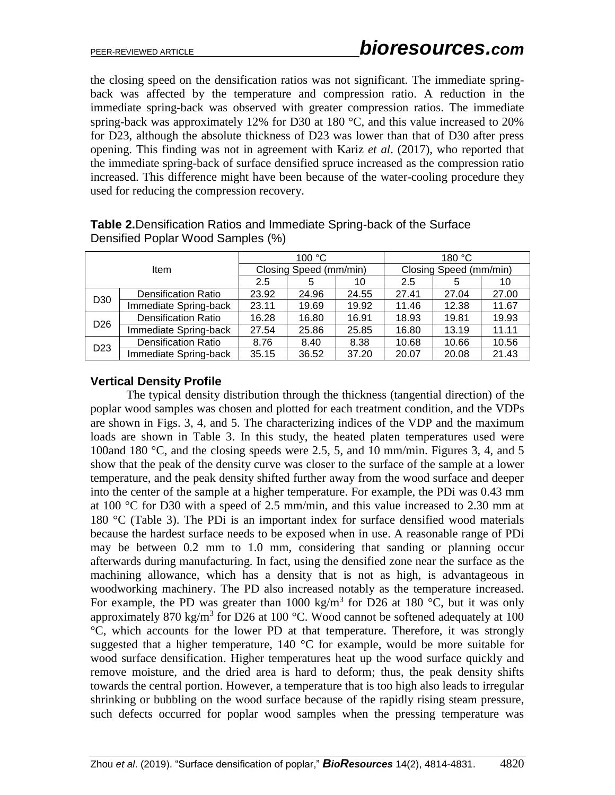the closing speed on the densification ratios was not significant. The immediate springback was affected by the temperature and compression ratio. A reduction in the immediate spring-back was observed with greater compression ratios. The immediate spring-back was approximately 12% for D30 at 180 °C, and this value increased to 20% for D23, although the absolute thickness of D23 was lower than that of D30 after press opening. This finding was not in agreement with Kariz *et al*. (2017), who reported that the immediate spring-back of surface densified spruce increased as the compression ratio increased. This difference might have been because of the water-cooling procedure they used for reducing the compression recovery.

| Item            |                            |       | 100 °C                 |       | 180 °C                 |       |       |  |
|-----------------|----------------------------|-------|------------------------|-------|------------------------|-------|-------|--|
|                 |                            |       | Closing Speed (mm/min) |       | Closing Speed (mm/min) |       |       |  |
|                 |                            | 2.5   | 5                      | 10    | 2.5                    | 5     | 10    |  |
| D <sub>30</sub> | <b>Densification Ratio</b> | 23.92 | 24.96                  | 24.55 | 27.41                  | 27.04 | 27.00 |  |
|                 | Immediate Spring-back      | 23.11 | 19.69                  | 19.92 | 11.46                  | 12.38 | 11.67 |  |
| D <sub>26</sub> | <b>Densification Ratio</b> | 16.28 | 16.80                  | 16.91 | 18.93                  | 19.81 | 19.93 |  |
|                 | Immediate Spring-back      | 27.54 | 25.86                  | 25.85 | 16.80                  | 13.19 | 11.11 |  |
| D <sub>23</sub> | <b>Densification Ratio</b> | 8.76  | 8.40                   | 8.38  | 10.68                  | 10.66 | 10.56 |  |
|                 | Immediate Spring-back      | 35.15 | 36.52                  | 37.20 | 20.07                  | 20.08 | 21.43 |  |

## **Table 2.**Densification Ratios and Immediate Spring-back of the Surface Densified Poplar Wood Samples (%)

# **Vertical Density Profile**

The typical density distribution through the thickness (tangential direction) of the poplar wood samples was chosen and plotted for each treatment condition, and the VDPs are shown in Figs. 3, 4, and 5. The characterizing indices of the VDP and the maximum loads are shown in Table 3. In this study, the heated platen temperatures used were 100and 180 °C, and the closing speeds were 2.5, 5, and 10 mm/min. Figures 3, 4, and 5 show that the peak of the density curve was closer to the surface of the sample at a lower temperature, and the peak density shifted further away from the wood surface and deeper into the center of the sample at a higher temperature. For example, the PDi was 0.43 mm at 100 °C for D30 with a speed of 2.5 mm/min, and this value increased to 2.30 mm at 180 °C (Table 3). The PDi is an important index for surface densified wood materials because the hardest surface needs to be exposed when in use. A reasonable range of PDi may be between 0.2 mm to 1.0 mm, considering that sanding or planning occur afterwards during manufacturing. In fact, using the densified zone near the surface as the machining allowance, which has a density that is not as high, is advantageous in woodworking machinery. The PD also increased notably as the temperature increased. For example, the PD was greater than 1000 kg/m<sup>3</sup> for D26 at 180 °C, but it was only approximately 870 kg/m<sup>3</sup> for D26 at 100  $^{\circ}$ C. Wood cannot be softened adequately at 100 °C, which accounts for the lower PD at that temperature. Therefore, it was strongly suggested that a higher temperature,  $140\text{ °C}$  for example, would be more suitable for wood surface densification. Higher temperatures heat up the wood surface quickly and remove moisture, and the dried area is hard to deform; thus, the peak density shifts towards the central portion. However, a temperature that is too high also leads to irregular shrinking or bubbling on the wood surface because of the rapidly rising steam pressure, such defects occurred for poplar wood samples when the pressing temperature was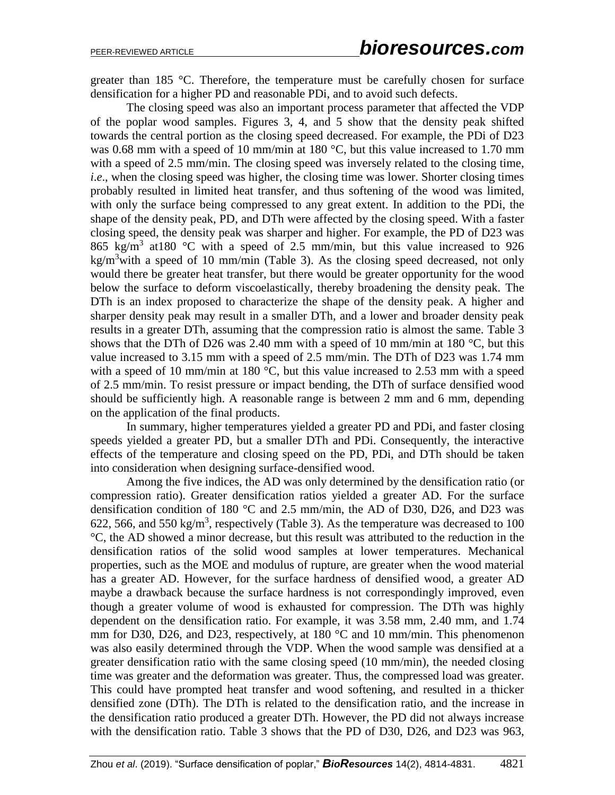greater than 185 °C. Therefore, the temperature must be carefully chosen for surface densification for a higher PD and reasonable PDi, and to avoid such defects.

The closing speed was also an important process parameter that affected the VDP of the poplar wood samples. Figures 3, 4, and 5 show that the density peak shifted towards the central portion as the closing speed decreased. For example, the PDi of D23 was 0.68 mm with a speed of 10 mm/min at 180 °C, but this value increased to 1.70 mm with a speed of 2.5 mm/min. The closing speed was inversely related to the closing time, *i.e.*, when the closing speed was higher, the closing time was lower. Shorter closing times probably resulted in limited heat transfer, and thus softening of the wood was limited, with only the surface being compressed to any great extent. In addition to the PDi, the shape of the density peak, PD, and DTh were affected by the closing speed. With a faster closing speed, the density peak was sharper and higher. For example, the PD of D23 was 865 kg/m<sup>3</sup> at 180 °C with a speed of 2.5 mm/min, but this value increased to 926 kg/m<sup>3</sup>with a speed of 10 mm/min (Table 3). As the closing speed decreased, not only would there be greater heat transfer, but there would be greater opportunity for the wood below the surface to deform viscoelastically, thereby broadening the density peak. The DTh is an index proposed to characterize the shape of the density peak. A higher and sharper density peak may result in a smaller DTh, and a lower and broader density peak results in a greater DTh, assuming that the compression ratio is almost the same. Table 3 shows that the DTh of D26 was 2.40 mm with a speed of 10 mm/min at 180  $^{\circ}$ C, but this value increased to 3.15 mm with a speed of 2.5 mm/min. The DTh of D23 was 1.74 mm with a speed of 10 mm/min at 180 °C, but this value increased to 2.53 mm with a speed of 2.5 mm/min. To resist pressure or impact bending, the DTh of surface densified wood should be sufficiently high. A reasonable range is between 2 mm and 6 mm, depending on the application of the final products.

In summary, higher temperatures yielded a greater PD and PDi, and faster closing speeds yielded a greater PD, but a smaller DTh and PDi. Consequently, the interactive effects of the temperature and closing speed on the PD, PDi, and DTh should be taken into consideration when designing surface-densified wood.

Among the five indices, the AD was only determined by the densification ratio (or compression ratio). Greater densification ratios yielded a greater AD. For the surface densification condition of 180 °C and 2.5 mm/min, the AD of D30, D26, and D23 was 622, 566, and 550 kg/m<sup>3</sup>, respectively (Table 3). As the temperature was decreased to 100 °C, the AD showed a minor decrease, but this result was attributed to the reduction in the densification ratios of the solid wood samples at lower temperatures. Mechanical properties, such as the MOE and modulus of rupture, are greater when the wood material has a greater AD. However, for the surface hardness of densified wood, a greater AD maybe a drawback because the surface hardness is not correspondingly improved, even though a greater volume of wood is exhausted for compression. The DTh was highly dependent on the densification ratio. For example, it was 3.58 mm, 2.40 mm, and 1.74 mm for D30, D26, and D23, respectively, at 180 °C and 10 mm/min. This phenomenon was also easily determined through the VDP. When the wood sample was densified at a greater densification ratio with the same closing speed (10 mm/min), the needed closing time was greater and the deformation was greater. Thus, the compressed load was greater. This could have prompted heat transfer and wood softening, and resulted in a thicker densified zone (DTh). The DTh is related to the densification ratio, and the increase in the densification ratio produced a greater DTh. However, the PD did not always increase with the densification ratio. Table 3 shows that the PD of D30, D26, and D23 was 963,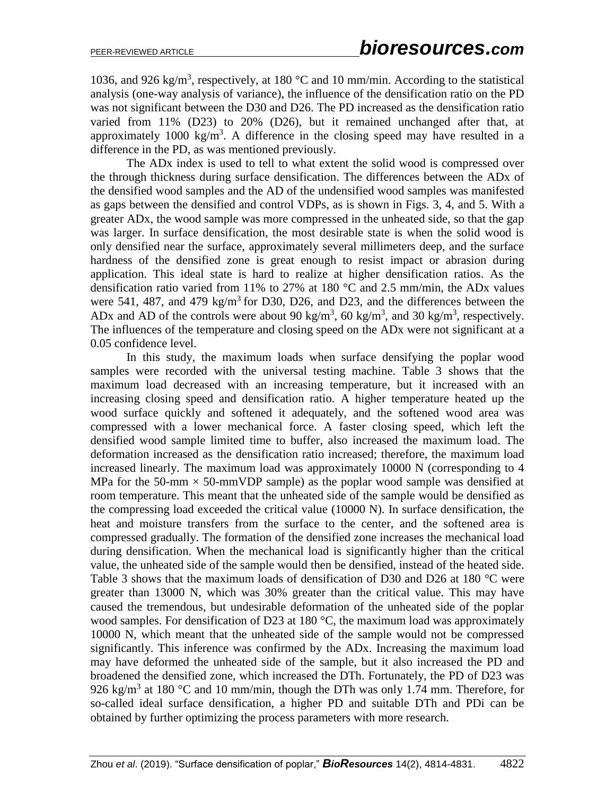1036, and 926 kg/m<sup>3</sup>, respectively, at 180  $^{\circ}$ C and 10 mm/min. According to the statistical analysis (one-way analysis of variance), the influence of the densification ratio on the PD was not significant between the D30 and D26. The PD increased as the densification ratio varied from 11% (D23) to 20% (D26), but it remained unchanged after that, at approximately 1000 kg/m<sup>3</sup>. A difference in the closing speed may have resulted in a difference in the PD, as was mentioned previously.

The ADx index is used to tell to what extent the solid wood is compressed over the through thickness during surface densification. The differences between the ADx of the densified wood samples and the AD of the undensified wood samples was manifested as gaps between the densified and control VDPs, as is shown in Figs. 3, 4, and 5. With a greater ADx, the wood sample was more compressed in the unheated side, so that the gap was larger. In surface densification, the most desirable state is when the solid wood is only densified near the surface, approximately several millimeters deep, and the surface hardness of the densified zone is great enough to resist impact or abrasion during application. This ideal state is hard to realize at higher densification ratios. As the densification ratio varied from 11% to 27% at 180  $^{\circ}$ C and 2.5 mm/min, the ADx values were 541, 487, and 479 kg/m<sup>3</sup> for D30, D26, and D23, and the differences between the ADx and AD of the controls were about 90 kg/m<sup>3</sup>, 60 kg/m<sup>3</sup>, and 30 kg/m<sup>3</sup>, respectively. The influences of the temperature and closing speed on the ADx were not significant at a 0.05 confidence level.

In this study, the maximum loads when surface densifying the poplar wood samples were recorded with the universal testing machine. Table 3 shows that the maximum load decreased with an increasing temperature, but it increased with an increasing closing speed and densification ratio. A higher temperature heated up the wood surface quickly and softened it adequately, and the softened wood area was compressed with a lower mechanical force. A faster closing speed, which left the densified wood sample limited time to buffer, also increased the maximum load. The deformation increased as the densification ratio increased; therefore, the maximum load increased linearly. The maximum load was approximately 10000 N (corresponding to 4 MPa for the 50-mm  $\times$  50-mmVDP sample) as the poplar wood sample was densified at room temperature. This meant that the unheated side of the sample would be densified as the compressing load exceeded the critical value (10000 N). In surface densification, the heat and moisture transfers from the surface to the center, and the softened area is compressed gradually. The formation of the densified zone increases the mechanical load during densification. When the mechanical load is significantly higher than the critical value, the unheated side of the sample would then be densified, instead of the heated side. Table 3 shows that the maximum loads of densification of D30 and D26 at 180 °C were greater than 13000 N, which was 30% greater than the critical value. This may have caused the tremendous, but undesirable deformation of the unheated side of the poplar wood samples. For densification of D23 at 180 °C, the maximum load was approximately 10000 N, which meant that the unheated side of the sample would not be compressed significantly. This inference was confirmed by the ADx. Increasing the maximum load may have deformed the unheated side of the sample, but it also increased the PD and broadened the densified zone, which increased the DTh. Fortunately, the PD of D23 was 926 kg/m<sup>3</sup> at 180 °C and 10 mm/min, though the DTh was only 1.74 mm. Therefore, for so-called ideal surface densification, a higher PD and suitable DTh and PDi can be obtained by further optimizing the process parameters with more research.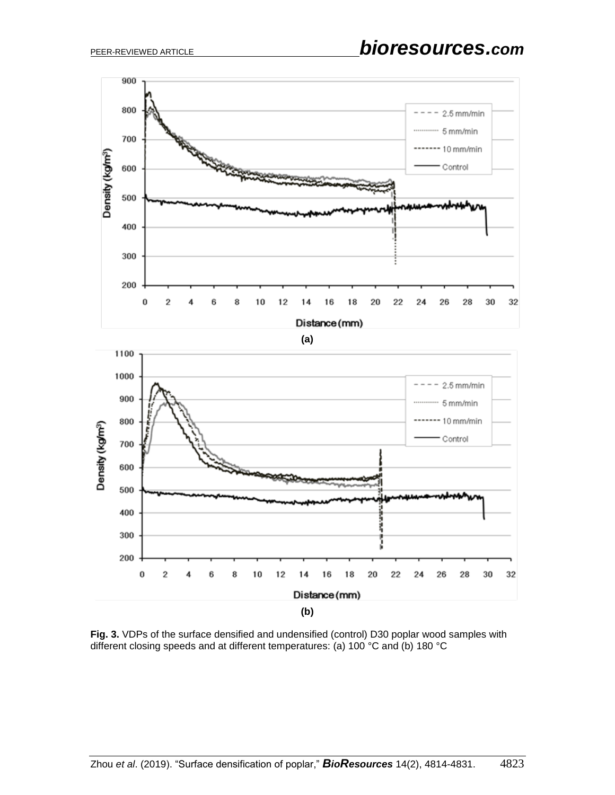

**Fig. 3.** VDPs of the surface densified and undensified (control) D30 poplar wood samples with different closing speeds and at different temperatures: (a) 100 °C and (b) 180 °C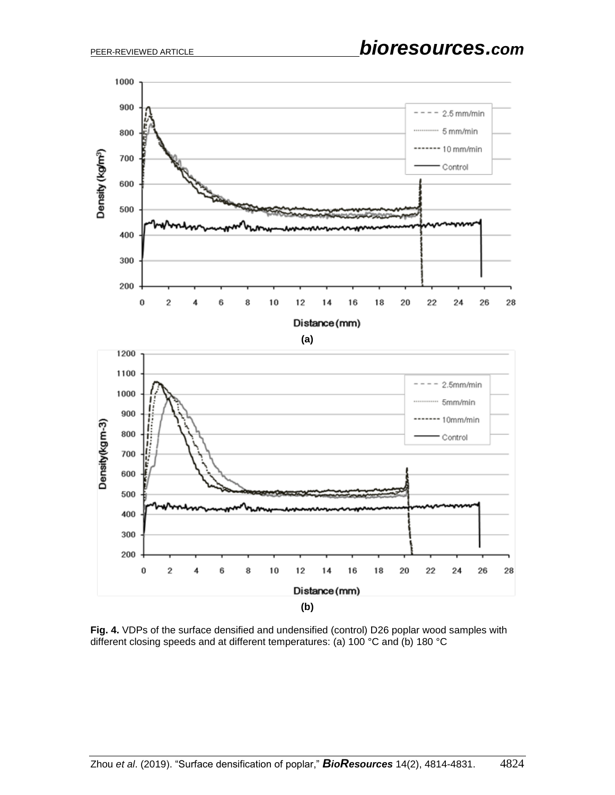

**Fig. 4.** VDPs of the surface densified and undensified (control) D26 poplar wood samples with different closing speeds and at different temperatures: (a) 100 °C and (b) 180 °C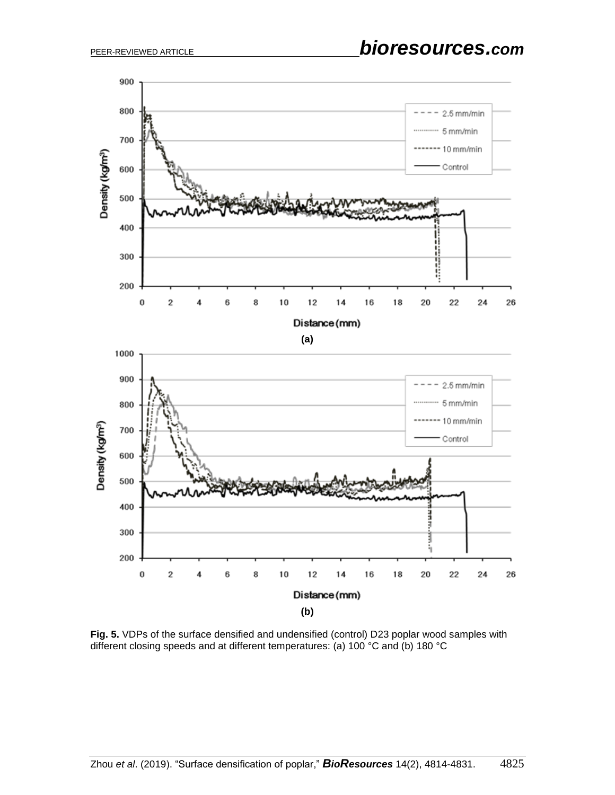

**Fig. 5.** VDPs of the surface densified and undensified (control) D23 poplar wood samples with different closing speeds and at different temperatures: (a) 100 °C and (b) 180 °C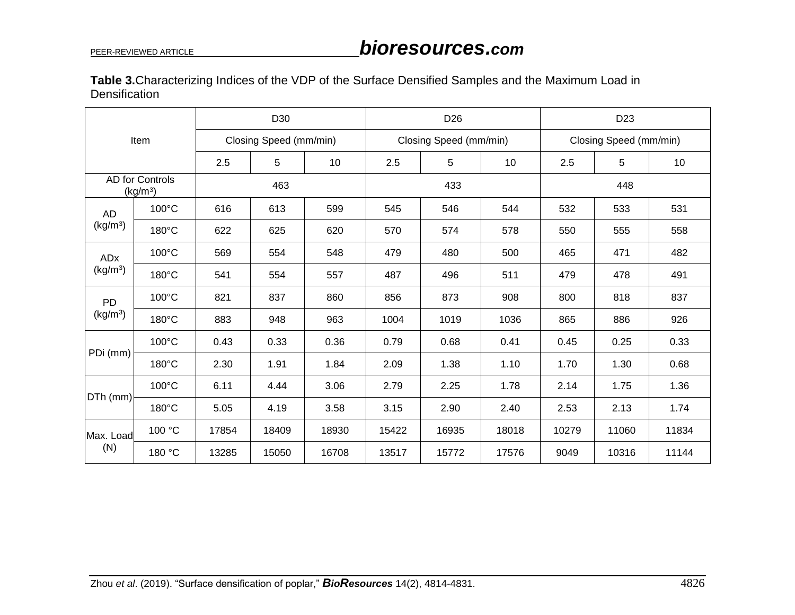| Table 3. Characterizing Indices of the VDP of the Surface Densified Samples and the Maximum Load in |  |  |  |
|-----------------------------------------------------------------------------------------------------|--|--|--|
| Densification                                                                                       |  |  |  |

| Item                                    |                 | D <sub>30</sub>        |       |       | D <sub>26</sub>        |       |                 | D <sub>23</sub>        |       |       |
|-----------------------------------------|-----------------|------------------------|-------|-------|------------------------|-------|-----------------|------------------------|-------|-------|
|                                         |                 | Closing Speed (mm/min) |       |       | Closing Speed (mm/min) |       |                 | Closing Speed (mm/min) |       |       |
|                                         |                 | 2.5                    | 5     | 10    | 2.5                    | 5     | 10 <sup>°</sup> | 2.5                    | 5     | 10    |
| AD for Controls<br>(kg/m <sup>3</sup> ) |                 | 463                    |       |       | 433                    |       |                 | 448                    |       |       |
| AD                                      | $100^{\circ}$ C | 616                    | 613   | 599   | 545                    | 546   | 544             | 532                    | 533   | 531   |
| (kg/m <sup>3</sup> )                    | $180^{\circ}$ C | 622                    | 625   | 620   | 570                    | 574   | 578             | 550                    | 555   | 558   |
| ADx                                     | $100^{\circ}$ C | 569                    | 554   | 548   | 479                    | 480   | 500             | 465                    | 471   | 482   |
| (kg/m <sup>3</sup> )                    | $180^{\circ}$ C | 541                    | 554   | 557   | 487                    | 496   | 511             | 479                    | 478   | 491   |
| <b>PD</b>                               | $100^{\circ}$ C | 821                    | 837   | 860   | 856                    | 873   | 908             | 800                    | 818   | 837   |
| (kg/m <sup>3</sup> )                    | $180^{\circ}$ C | 883                    | 948   | 963   | 1004                   | 1019  | 1036            | 865                    | 886   | 926   |
|                                         | $100^{\circ}$ C | 0.43                   | 0.33  | 0.36  | 0.79                   | 0.68  | 0.41            | 0.45                   | 0.25  | 0.33  |
| PDi (mm)                                | $180^{\circ}$ C | 2.30                   | 1.91  | 1.84  | 2.09                   | 1.38  | 1.10            | 1.70                   | 1.30  | 0.68  |
|                                         | $100^{\circ}$ C | 6.11                   | 4.44  | 3.06  | 2.79                   | 2.25  | 1.78            | 2.14                   | 1.75  | 1.36  |
| DTh (mm)                                | 180°C           | 5.05                   | 4.19  | 3.58  | 3.15                   | 2.90  | 2.40            | 2.53                   | 2.13  | 1.74  |
| Max. Load                               | 100 °C          | 17854                  | 18409 | 18930 | 15422                  | 16935 | 18018           | 10279                  | 11060 | 11834 |
| (N)                                     | 180 °C          | 13285                  | 15050 | 16708 | 13517                  | 15772 | 17576           | 9049                   | 10316 | 11144 |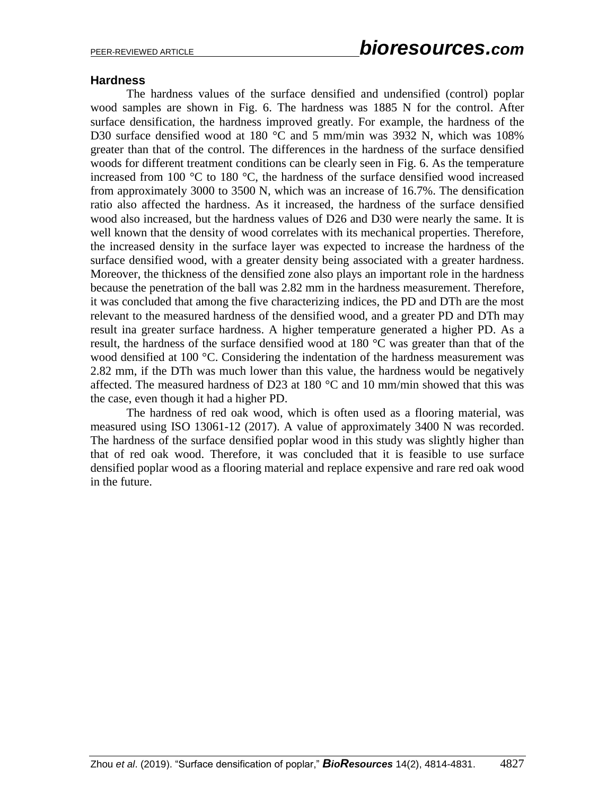#### **Hardness**

The hardness values of the surface densified and undensified (control) poplar wood samples are shown in Fig. 6. The hardness was 1885 N for the control. After surface densification, the hardness improved greatly. For example, the hardness of the D30 surface densified wood at 180 °C and 5 mm/min was 3932 N, which was 108% greater than that of the control. The differences in the hardness of the surface densified woods for different treatment conditions can be clearly seen in Fig. 6. As the temperature increased from 100 °C to 180 °C, the hardness of the surface densified wood increased from approximately 3000 to 3500 N, which was an increase of 16.7%. The densification ratio also affected the hardness. As it increased, the hardness of the surface densified wood also increased, but the hardness values of D26 and D30 were nearly the same. It is well known that the density of wood correlates with its mechanical properties. Therefore, the increased density in the surface layer was expected to increase the hardness of the surface densified wood, with a greater density being associated with a greater hardness. Moreover, the thickness of the densified zone also plays an important role in the hardness because the penetration of the ball was 2.82 mm in the hardness measurement. Therefore, it was concluded that among the five characterizing indices, the PD and DTh are the most relevant to the measured hardness of the densified wood, and a greater PD and DTh may result ina greater surface hardness. A higher temperature generated a higher PD. As a result, the hardness of the surface densified wood at 180 °C was greater than that of the wood densified at 100 °C. Considering the indentation of the hardness measurement was 2.82 mm, if the DTh was much lower than this value, the hardness would be negatively affected. The measured hardness of D23 at 180  $^{\circ}$ C and 10 mm/min showed that this was the case, even though it had a higher PD.

The hardness of red oak wood, which is often used as a flooring material, was measured using ISO 13061-12 (2017). A value of approximately 3400 N was recorded. The hardness of the surface densified poplar wood in this study was slightly higher than that of red oak wood. Therefore, it was concluded that it is feasible to use surface densified poplar wood as a flooring material and replace expensive and rare red oak wood in the future.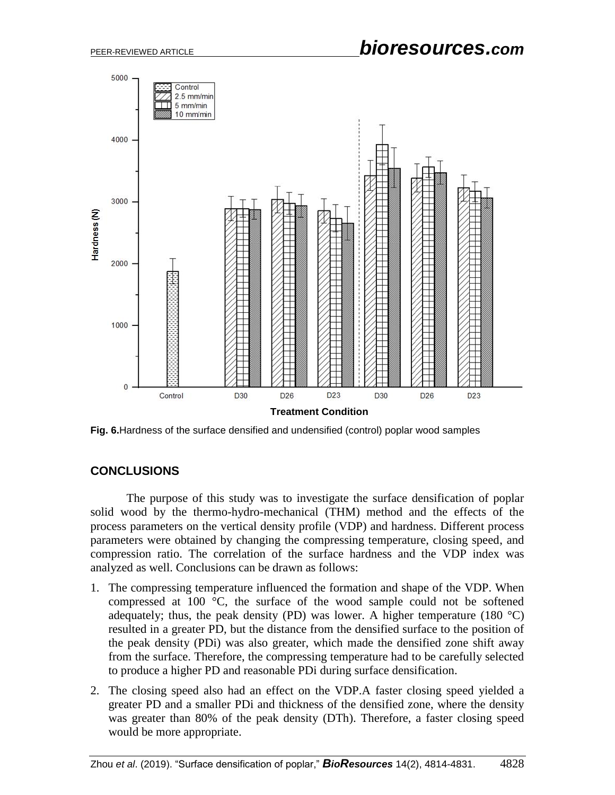

**Fig. 6.**Hardness of the surface densified and undensified (control) poplar wood samples

## **CONCLUSIONS**

The purpose of this study was to investigate the surface densification of poplar solid wood by the thermo-hydro-mechanical (THM) method and the effects of the process parameters on the vertical density profile (VDP) and hardness. Different process parameters were obtained by changing the compressing temperature, closing speed, and compression ratio. The correlation of the surface hardness and the VDP index was analyzed as well. Conclusions can be drawn as follows:

- 1. The compressing temperature influenced the formation and shape of the VDP. When compressed at 100 °C, the surface of the wood sample could not be softened adequately; thus, the peak density (PD) was lower. A higher temperature (180  $^{\circ}$ C) resulted in a greater PD, but the distance from the densified surface to the position of the peak density (PDi) was also greater, which made the densified zone shift away from the surface. Therefore, the compressing temperature had to be carefully selected to produce a higher PD and reasonable PDi during surface densification.
- 2. The closing speed also had an effect on the VDP.A faster closing speed yielded a greater PD and a smaller PDi and thickness of the densified zone, where the density was greater than 80% of the peak density (DTh). Therefore, a faster closing speed would be more appropriate.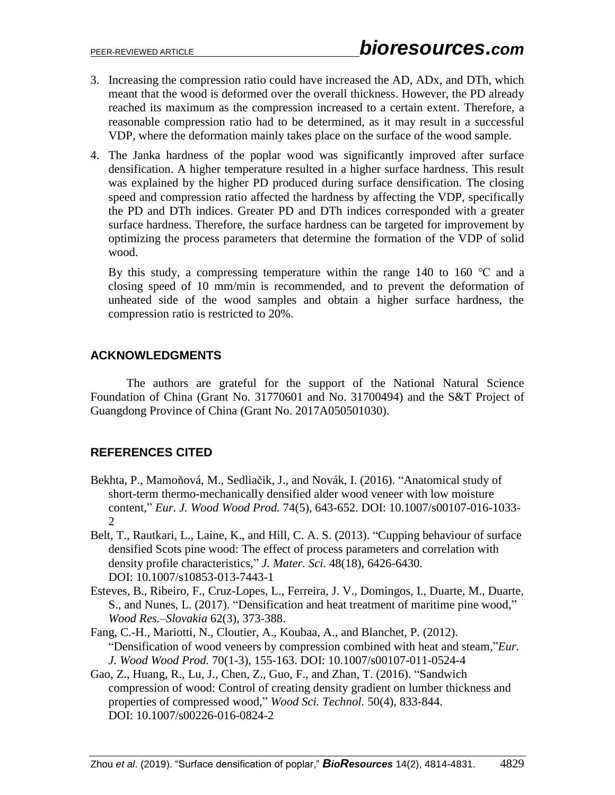- 3. Increasing the compression ratio could have increased the AD, ADx, and DTh, which meant that the wood is deformed over the overall thickness. However, the PD already reached its maximum as the compression increased to a certain extent. Therefore, a reasonable compression ratio had to be determined, as it may result in a successful VDP, where the deformation mainly takes place on the surface of the wood sample.
- 4. The Janka hardness of the poplar wood was significantly improved after surface densification. A higher temperature resulted in a higher surface hardness. This result was explained by the higher PD produced during surface densification. The closing speed and compression ratio affected the hardness by affecting the VDP, specifically the PD and DTh indices. Greater PD and DTh indices corresponded with a greater surface hardness. Therefore, the surface hardness can be targeted for improvement by optimizing the process parameters that determine the formation of the VDP of solid wood.

By this study, a compressing temperature within the range 140 to 160  $\degree$ C and a closing speed of 10 mm/min is recommended, and to prevent the deformation of unheated side of the wood samples and obtain a higher surface hardness, the compression ratio is restricted to 20%.

## **ACKNOWLEDGMENTS**

The authors are grateful for the support of the National Natural Science Foundation of China (Grant No. 31770601 and No. 31700494) and the S&T Project of Guangdong Province of China (Grant No. 2017A050501030).

# **REFERENCES CITED**

- Bekhta, P., Mamoňová, M., Sedliačik, J., and Novák, I. (2016). "Anatomical study of short-term thermo-mechanically densified alder wood veneer with low moisture content," *Eur. J. Wood Wood Prod.* 74(5), 643-652. DOI: 10.1007/s00107-016-1033-  $\mathcal{D}_{\mathcal{L}}$
- Belt, T., Rautkari, L., Laine, K., and Hill, C. A. S. (2013). "Cupping behaviour of surface densified Scots pine wood: The effect of process parameters and correlation with density profile characteristics," *J. Mater. Sci.* 48(18), 6426-6430. DOI: 10.1007/s10853-013-7443-1
- Esteves, B., Ribeiro, F., Cruz-Lopes, L., Ferreira, J. V., Domingos, I., Duarte, M., Duarte, S., and Nunes, L. (2017). "Densification and heat treatment of maritime pine wood," *Wood Res.–Slovakia* 62(3), 373-388.
- Fang, C.-H., Mariotti, N., Cloutier, A., Koubaa, A., and Blanchet, P. (2012). "Densification of wood veneers by compression combined with heat and steam,"*Eur. J. Wood Wood Prod.* 70(1-3), 155-163. DOI: 10.1007/s00107-011-0524-4
- Gao, Z., Huang, R., Lu, J., Chen, Z., Guo, F., and Zhan, T. (2016). "Sandwich compression of wood: Control of creating density gradient on lumber thickness and properties of compressed wood," *Wood Sci. Technol.* 50(4), 833-844. DOI: 10.1007/s00226-016-0824-2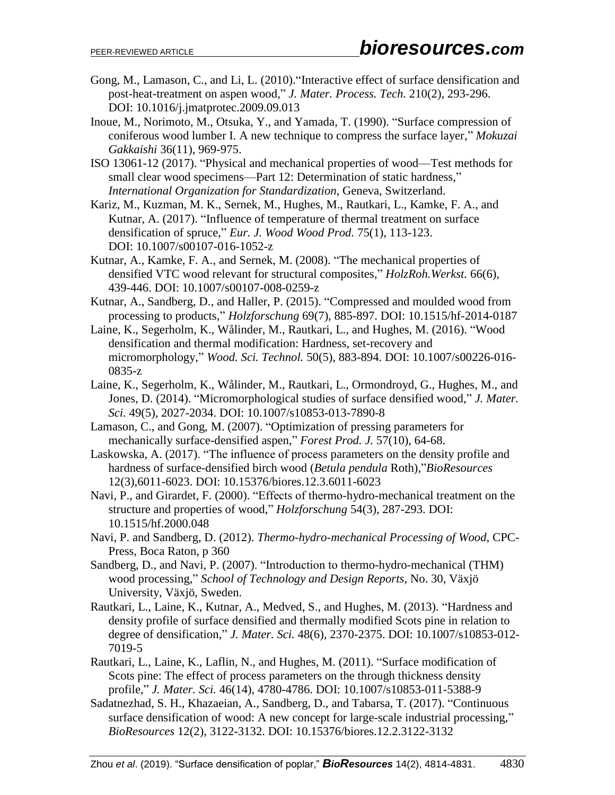- Gong, M., Lamason, C., and Li, L. (2010)."Interactive effect of surface densification and post-heat-treatment on aspen wood," *J. Mater. Process. Tech.* 210(2), 293-296. DOI: 10.1016/j.jmatprotec.2009.09.013
- Inoue, M., Norimoto, M., Otsuka, Y., and Yamada, T. (1990). "Surface compression of coniferous wood lumber I. A new technique to compress the surface layer," *Mokuzai Gakkaishi* 36(11), 969-975.
- ISO 13061-12 (2017). "Physical and mechanical properties of wood—Test methods for small clear wood specimens—Part 12: Determination of static hardness," *International Organization for Standardization*, Geneva, Switzerland.
- Kariz, M., Kuzman, M. K., Sernek, M., Hughes, M., Rautkari, L., Kamke, F. A., and Kutnar, A. (2017). "Influence of temperature of thermal treatment on surface densification of spruce," *Eur. J. Wood Wood Prod.* 75(1), 113-123. DOI: 10.1007/s00107-016-1052-z
- Kutnar, A., Kamke, F. A., and Sernek, M. (2008). "The mechanical properties of densified VTC wood relevant for structural composites," *HolzRoh.Werkst.* 66(6), 439-446. DOI: 10.1007/s00107-008-0259-z
- Kutnar, A., Sandberg, D., and Haller, P. (2015). "Compressed and moulded wood from processing to products," *Holzforschung* 69(7), 885-897. DOI: 10.1515/hf-2014-0187
- Laine, K., Segerholm, K., Wålinder, M., Rautkari, L., and Hughes, M. (2016). "Wood densification and thermal modification: Hardness, set-recovery and micromorphology," *Wood. Sci. Technol.* 50(5), 883-894. DOI: 10.1007/s00226-016- 0835-z
- Laine, K., Segerholm, K., Wålinder, M., Rautkari, L., Ormondroyd, G., Hughes, M., and Jones, D. (2014). "Micromorphological studies of surface densified wood," *J. Mater. Sci.* 49(5), 2027-2034. DOI: 10.1007/s10853-013-7890-8
- Lamason, C., and Gong, M. (2007). "Optimization of pressing parameters for mechanically surface-densified aspen," *Forest Prod. J.* 57(10), 64-68.
- Laskowska, A. (2017). "The influence of process parameters on the density profile and hardness of surface-densified birch wood (*Betula pendula* Roth),"*BioResources* 12(3),6011-6023. DOI: 10.15376/biores.12.3.6011-6023
- Navi, P., and Girardet, F. (2000). "Effects of thermo-hydro-mechanical treatment on the structure and properties of wood," *Holzforschung* 54(3), 287-293. DOI: 10.1515/hf.2000.048
- Navi, P. and Sandberg, D. (2012). *Thermo-hydro-mechanical Processing of Wood*, CPC-Press, Boca Raton, p 360
- Sandberg, D., and Navi, P. (2007). "Introduction to thermo-hydro-mechanical (THM) wood processing," *School of Technology and Design Reports*, No. 30, Växjö University, Växjö, Sweden.
- Rautkari, L., Laine, K., Kutnar, A., Medved, S., and Hughes, M. (2013). "Hardness and density profile of surface densified and thermally modified Scots pine in relation to degree of densification," *J. Mater. Sci.* 48(6), 2370-2375. DOI: 10.1007/s10853-012- 7019-5
- Rautkari, L., Laine, K., Laflin, N., and Hughes, M. (2011). "Surface modification of Scots pine: The effect of process parameters on the through thickness density profile," *J. Mater. Sci.* 46(14), 4780-4786. DOI: 10.1007/s10853-011-5388-9
- Sadatnezhad, S. H., Khazaeian, A., Sandberg, D., and Tabarsa, T. (2017). "Continuous surface densification of wood: A new concept for large-scale industrial processing," *BioResources* 12(2), 3122-3132. DOI: 10.15376/biores.12.2.3122-3132